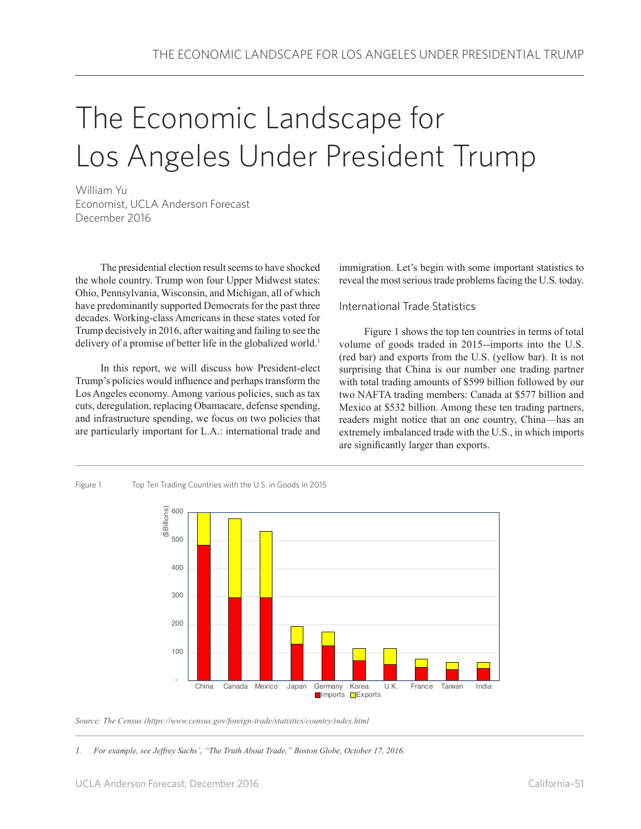# The Economic Landscape for Los Angeles Under President Trump

William Yu Economist, UCLA Anderson Forecast December 2016

The presidential election result seems to have shocked the whole country. Trump won four Upper Midwest states: Ohio, Pennsylvania, Wisconsin, and Michigan, all of which have predominantly supported Democrats for the past three decades. Working-class Americans in these states voted for Trump decisively in 2016, after waiting and failing to see the delivery of a promise of better life in the globalized world.<sup>1</sup>

In this report, we will discuss how President-elect Trump's policies would influence and perhaps transform the Los Angeles economy. Among various policies, such as tax cuts, deregulation, replacing Obamacare, defense spending, and infrastructure spending, we focus on two policies that are particularly important for L.A.: international trade and

immigration. Let's begin with some important statistics to reveal the most serious trade problems facing the U.S. today.

## International Trade Statistics

Figure 1 shows the top ten countries in terms of total volume of goods traded in 2015--imports into the U.S. (red bar) and exports from the U.S. (yellow bar). It is not surprising that China is our number one trading partner with total trading amounts of \$599 billion followed by our two NAFTA trading members: Canada at \$577 billion and Mexico at \$532 billion. Among these ten trading partners, readers might notice that an one country, China—has an extremely imbalanced trade with the U.S., in which imports are significantly larger than exports.



Figure 1 Top Ten Trading Countries with the U.S. in Goods in 2015

*Source: The Census (https://www.census.gov/foreign-trade/statistics/country/index.html*

*1. For example, see Jeffrey Sachs', "The Truth About Trade," Boston Globe, October 17, 2016.*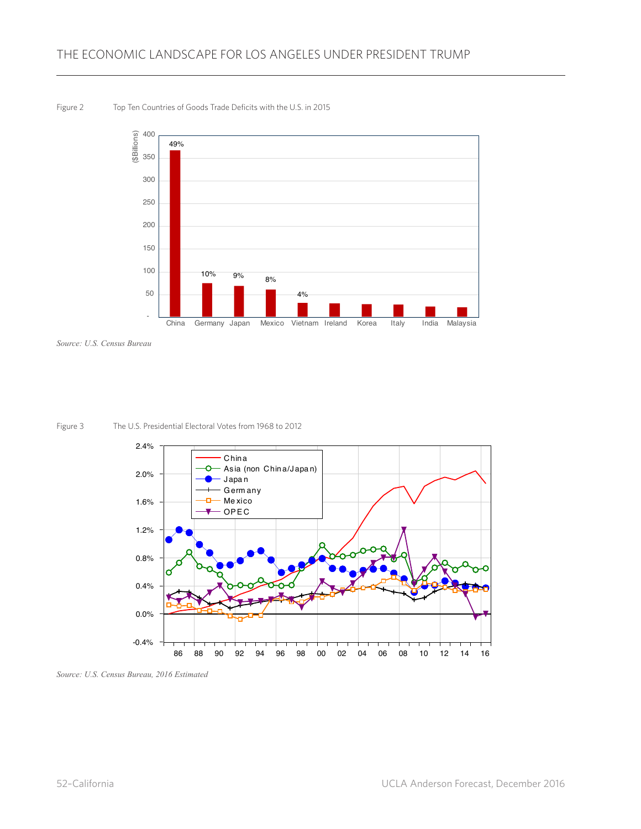#### Figure 2 Top Ten Countries of Goods Trade Deficits with the U.S. in 2015



Source: U.S. Census Bureau





Source: U.S. Census Bureau, 2016 Estimated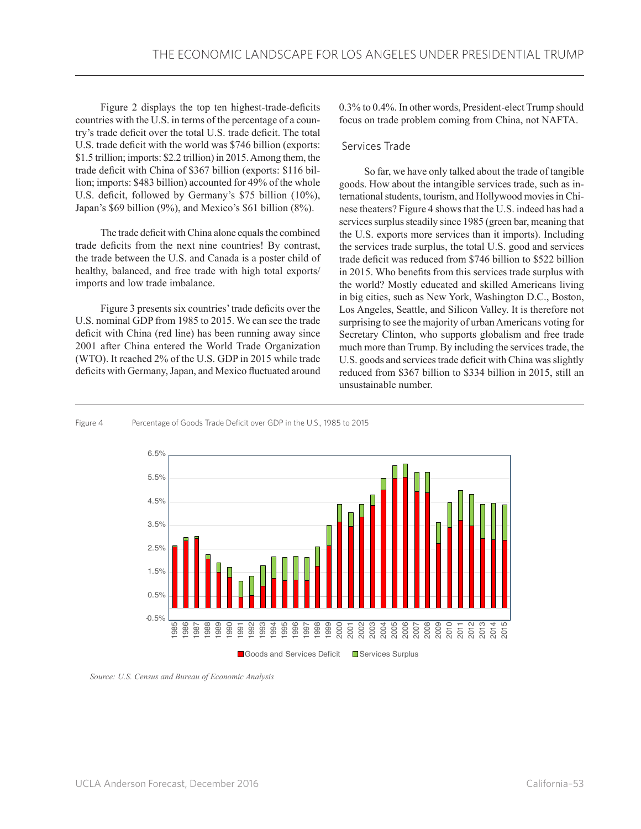Figure 2 displays the top ten highest-trade-deficits countries with the U.S. in terms of the percentage of a country's trade deficit over the total U.S. trade deficit. The total U.S. trade deficit with the world was \$746 billion (exports: \$1.5 trillion; imports: \$2.2 trillion) in 2015. Among them, the trade deficit with China of \$367 billion (exports: \$116 billion; imports: \$483 billion) accounted for 49% of the whole U.S. deficit, followed by Germany's \$75 billion (10%), Japan's \$69 billion (9%), and Mexico's \$61 billion (8%).

The trade deficit with China alone equals the combined trade deficits from the next nine countries! By contrast, the trade between the U.S. and Canada is a poster child of healthy, balanced, and free trade with high total exports/ imports and low trade imbalance.

Figure 3 presents six countries' trade deficits over the U.S. nominal GDP from 1985 to 2015. We can see the trade deficit with China (red line) has been running away since 2001 after China entered the World Trade Organization (WTO). It reached 2% of the U.S. GDP in 2015 while trade deficits with Germany, Japan, and Mexico fluctuated around

0.3% to 0.4%. In other words, President-elect Trump should focus on trade problem coming from China, not NAFTA.

#### Services Trade

So far, we have only talked about the trade of tangible goods. How about the intangible services trade, such as international students, tourism, and Hollywood movies in Chinese theaters? Figure 4 shows that the U.S. indeed has had a services surplus steadily since 1985 (green bar, meaning that the U.S. exports more services than it imports). Including the services trade surplus, the total U.S. good and services trade deficit was reduced from \$746 billion to \$522 billion in 2015. Who benefits from this services trade surplus with the world? Mostly educated and skilled Americans living in big cities, such as New York, Washington D.C., Boston, Los Angeles, Seattle, and Silicon Valley. It is therefore not surprising to see the majority of urban Americans voting for Secretary Clinton, who supports globalism and free trade much more than Trump. By including the services trade, the U.S. goods and services trade deficit with China was slightly reduced from \$367 billion to \$334 billion in 2015, still an unsustainable number.

#### Figure 4 Percentage of Goods Trade Deficit over GDP in the U.S., 1985 to 2015



 *Source: U.S. Census and Bureau of Economic Analysis*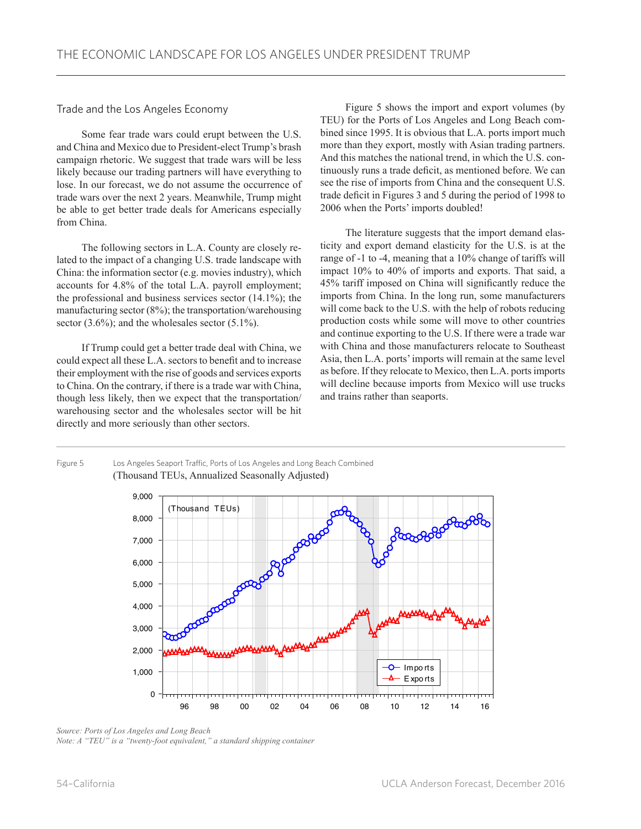Trade and the Los Angeles Economy

Some fear trade wars could erupt between the U.S. and China and Mexico due to President-elect Trump's brash campaign rhetoric. We suggest that trade wars will be less likely because our trading partners will have everything to lose. In our forecast, we do not assume the occurrence of trade wars over the next 2 years. Meanwhile, Trump might be able to get better trade deals for Americans especially from China.

The following sectors in L.A. County are closely related to the impact of a changing U.S. trade landscape with China: the information sector (e.g. movies industry), which accounts for 4.8% of the total L.A. payroll employment; the professional and business services sector (14.1%); the manufacturing sector (8%); the transportation/warehousing sector  $(3.6\%)$ ; and the wholesales sector  $(5.1\%)$ .

If Trump could get a better trade deal with China, we could expect all these L.A. sectors to benefit and to increase their employment with the rise of goods and services exports to China. On the contrary, if there is a trade war with China, though less likely, then we expect that the transportation/ warehousing sector and the wholesales sector will be hit directly and more seriously than other sectors.

Figure 5 shows the import and export volumes (by TEU) for the Ports of Los Angeles and Long Beach combined since 1995. It is obvious that L.A. ports import much more than they export, mostly with Asian trading partners. And this matches the national trend, in which the U.S. continuously runs a trade deficit, as mentioned before. We can see the rise of imports from China and the consequent U.S. trade deficit in Figures 3 and 5 during the period of 1998 to 2006 when the Ports' imports doubled!

The literature suggests that the import demand elasticity and export demand elasticity for the U.S. is at the range of -1 to -4, meaning that a 10% change of tariffs will impact 10% to 40% of imports and exports. That said, a 45% tariff imposed on China will significantly reduce the imports from China. In the long run, some manufacturers will come back to the U.S. with the help of robots reducing production costs while some will move to other countries and continue exporting to the U.S. If there were a trade war with China and those manufacturers relocate to Southeast Asia, then L.A. ports' imports will remain at the same level as before. If they relocate to Mexico, then L.A. ports imports will decline because imports from Mexico will use trucks and trains rather than seaports.

Figure 5 Los Angeles Seaport Traffic, Ports of Los Angeles and Long Beach Combined (Thousand TEUs, Annualized Seasonally Adjusted)



*Source: Ports of Los Angeles and Long Beach*

*Note: A "TEU" is a "twenty-foot equivalent," a standard shipping container*